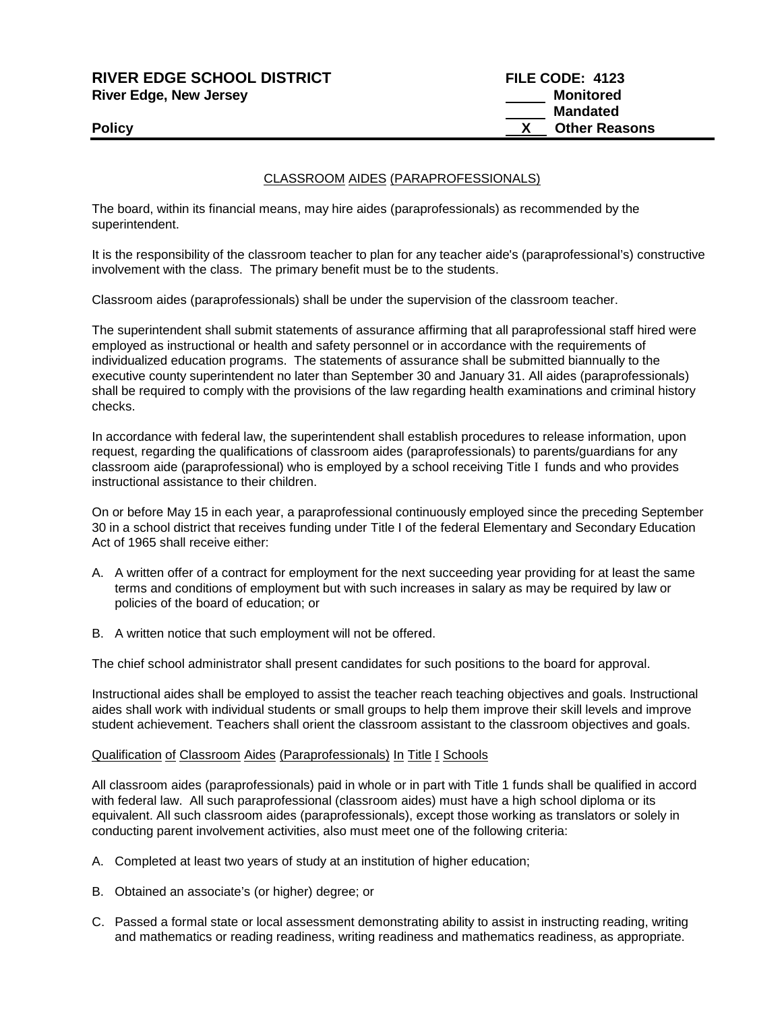# **RIVER EDGE SCHOOL DISTRICT FILE CODE: 4123 River Edge, New Jersey Monitored Monitored**

# **Mandated Policy X** Other Reasons

### CLASSROOM AIDES (PARAPROFESSIONALS)

The board, within its financial means, may hire aides (paraprofessionals) as recommended by the superintendent.

It is the responsibility of the classroom teacher to plan for any teacher aide's (paraprofessional's) constructive involvement with the class. The primary benefit must be to the students.

Classroom aides (paraprofessionals) shall be under the supervision of the classroom teacher.

The superintendent shall submit statements of assurance affirming that all paraprofessional staff hired were employed as instructional or health and safety personnel or in accordance with the requirements of individualized education programs. The statements of assurance shall be submitted biannually to the executive county superintendent no later than September 30 and January 31. All aides (paraprofessionals) shall be required to comply with the provisions of the law regarding health examinations and criminal history checks.

In accordance with federal law, the superintendent shall establish procedures to release information, upon request, regarding the qualifications of classroom aides (paraprofessionals) to parents/guardians for any classroom aide (paraprofessional) who is employed by a school receiving Title Ι funds and who provides instructional assistance to their children.

On or before May 15 in each year, a paraprofessional continuously employed since the preceding September 30 in a school district that receives funding under Title I of the federal Elementary and Secondary Education Act of 1965 shall receive either:

- A. A written offer of a contract for employment for the next succeeding year providing for at least the same terms and conditions of employment but with such increases in salary as may be required by law or policies of the board of education; or
- B. A written notice that such employment will not be offered.

The chief school administrator shall present candidates for such positions to the board for approval.

Instructional aides shall be employed to assist the teacher reach teaching objectives and goals. Instructional aides shall work with individual students or small groups to help them improve their skill levels and improve student achievement. Teachers shall orient the classroom assistant to the classroom objectives and goals.

#### Qualification of Classroom Aides (Paraprofessionals) In Title Ι Schools

All classroom aides (paraprofessionals) paid in whole or in part with Title 1 funds shall be qualified in accord with federal law. All such paraprofessional (classroom aides) must have a high school diploma or its equivalent. All such classroom aides (paraprofessionals), except those working as translators or solely in conducting parent involvement activities, also must meet one of the following criteria:

- A. Completed at least two years of study at an institution of higher education;
- B. Obtained an associate's (or higher) degree; or
- C. Passed a formal state or local assessment demonstrating ability to assist in instructing reading, writing and mathematics or reading readiness, writing readiness and mathematics readiness, as appropriate.